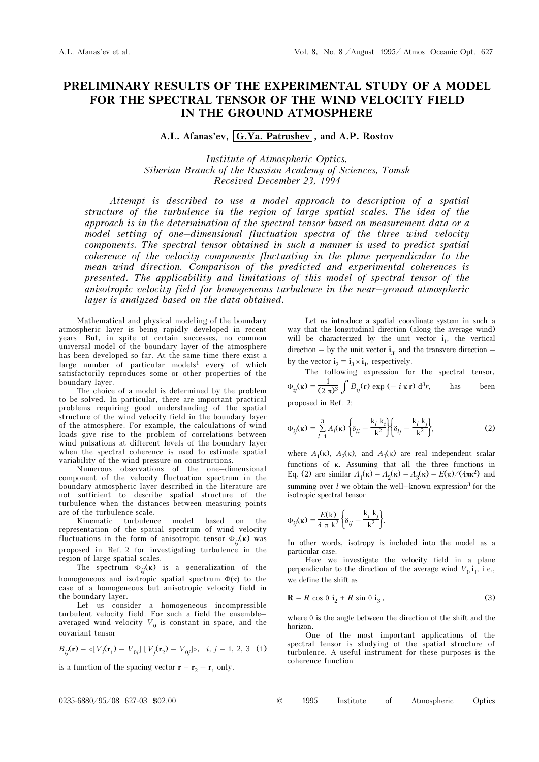## PRELIMINARY RESULTS OF THE EXPERIMENTAL STUDY OF A MODEL FOR THE SPECTRAL TENSOR OF THE WIND VELOCITY FIELD IN THE GROUND ATMOSPHERE

A.L. Afanas'ev, G.Ya. Patrushev, and A.P. Rostov

Institute of Atmospheric Optics, Siberian Branch of the Russian Academy of Sciences, Tomsk Received December 23, 1994

Attempt is described to use a model approach to description of a spatial structure of the turbulence in the region of large spatial scales. The idea of the approach is in the determination of the spectral tensor based on measurement data or a model setting of one–dimensional fluctuation spectra of the three wind velocity components. The spectral tensor obtained in such a manner is used to predict spatial coherence of the velocity components fluctuating in the plane perpendicular to the mean wind direction. Comparison of the predicted and experimental coherences is presented. The applicability and limitations of this model of spectral tensor of the anisotropic velocity field for homogeneous turbulence in the near–ground atmospheric layer is analyzed based on the data obtained.

Mathematical and physical modeling of the boundary atmospheric layer is being rapidly developed in recent years. But, in spite of certain successes, no common universal model of the boundary layer of the atmosphere has been developed so far. At the same time there exist a large number of particular models<sup>1</sup> every of which satisfactorily reproduces some or other properties of the boundary layer.

The choice of a model is determined by the problem to be solved. In particular, there are important practical problems requiring good understanding of the spatial structure of the wind velocity field in the boundary layer of the atmosphere. For example, the calculations of wind loads give rise to the problem of correlations between wind pulsations at different levels of the boundary layer when the spectral coherence is used to estimate spatial variability of the wind pressure on constructions.

Numerous observations of the one–dimensional component of the velocity fluctuation spectrum in the boundary atmospheric layer described in the literature are not sufficient to describe spatial structure of the turbulence when the distances between measuring points are of the turbulence scale.

Kinematic turbulence model based on the representation of the spatial spectrum of wind velocity fluctuations in the form of anisotropic tensor  $\Phi_{ij}(\kappa)$  was proposed in Ref. 2 for investigating turbulence in the region of large spatial scales.

The spectrum  $\Phi_{ij}(\kappa)$  is a generalization of the homogeneous and isotropic spatial spectrum  $\Phi(\kappa)$  to the case of a homogeneous but anisotropic velocity field in the boundary layer.

Let us consider a homogeneous incompressible turbulent velocity field. For such a field the ensemble– averaged wind velocity  $V_0$  is constant in space, and the covariant tensor

$$
B_{ij}(\mathbf{r}) = \langle [V_i(\mathbf{r}_1) - V_{0i}] [V_j(\mathbf{r}_2) - V_{0j}] \rangle, \quad i, j = 1, 2, 3 \quad (1)
$$

is a function of the spacing vector  $\mathbf{r} = \mathbf{r}_2 - \mathbf{r}_1$  only.

Let us introduce a spatial coordinate system in such a way that the longitudinal direction (along the average wind) will be characterized by the unit vector  $i_1$ , the vertical direction – by the unit vector  $\mathbf{i}_3$ , and the transvere direction – by the vector  $\mathbf{i}_2 = \mathbf{i}_3 \times \mathbf{i}_1$ , respectively.

The following expression for the spectral tensor,  $\Phi_{ij}(\mathbf{k}) = \frac{1}{(2 \pi)^3} \int B_{ij}(\mathbf{r}) \exp(-i \kappa \mathbf{r}) d^3 r$ , has been proposed in Ref. 2:

$$
\Phi_{ij}(\kappa) = \sum_{l=1}^{3} A_l(\kappa) \left\{ \delta_{li} - \frac{k_l k_i}{k^2} \right\} \left\{ \delta_{lj} - \frac{k_l k_j}{k^2} \right\},\tag{2}
$$

where  $A_1(\kappa)$ ,  $A_2(\kappa)$ , and  $A_3(\kappa)$  are real independent scalar functions of κ. Assuming that all the three functions in Eq. (2) are similar  $A_1(\kappa) = A_2(\kappa) = A_3(\kappa) = E(\kappa)/(4\pi\kappa^2)$  and summing over  $l$  we obtain the well–known expression<sup>3</sup> for the isotropic spectral tensor

$$
\Phi_{ij}(\kappa) = \frac{E(\mathbf{k})}{4 \pi \mathbf{k}^2} \left\{ \delta_{ij} - \frac{\mathbf{k}_i \mathbf{k}_j}{\mathbf{k}^2} \right\}.
$$

In other words, isotropy is included into the model as a particular case.

Here we investigate the velocity field in a plane perpendicular to the direction of the average wind  $V_0$   $\mathbf{i}_1$ , i.e., we define the shift as

$$
\mathbf{R} = R \cos \theta \, \mathbf{i}_2 + R \sin \theta \, \mathbf{i}_3 \,, \tag{3}
$$

where  $\theta$  is the angle between the direction of the shift and the horizon.

One of the most important applications of the spectral tensor is studying of the spatial structure of turbulence. A useful instrument for these purposes is the coherence function

| 1995 | Institute | Atmospheric | Optics |
|------|-----------|-------------|--------|
|      |           |             |        |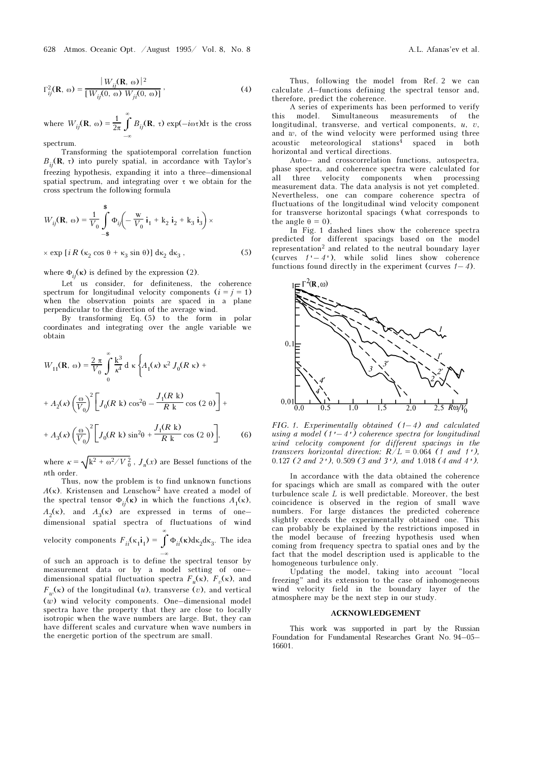$$
\Gamma_{ij}^{2}(\mathbf{R}, \omega) = \frac{|W_{ij}(\mathbf{R}, \omega)|^{2}}{[W_{ij}(0, \omega) W_{ji}(0, \omega)]},
$$
 (4)

where  $W_{ij}(\mathbf{R}, \omega) = \frac{1}{2\pi} \int_{-\infty}^{\infty}$  $\int^{\infty} B_{ij}(\mathbf{R}, \tau) \exp(-i\omega \tau) d\tau$  is the cross spectrum.

Transforming the spatiotemporal correlation function  $B_{ii}(\mathbf{R}, \tau)$  into purely spatial, in accordance with Taylor's freezing hypothesis, expanding it into a three–dimensional spatial spectrum, and integrating over τ we obtain for the cross spectrum the following formula

$$
W_{ij}(\mathbf{R}, \omega) = \frac{1}{V_0} \int_{-\$}^{\$} \Phi_{ij} \left( -\frac{\mathbf{w}}{V_0} \mathbf{i}_1 + \mathbf{k}_2 \mathbf{i}_2 + \mathbf{k}_3 \mathbf{i}_3 \right) \times
$$

$$
\times \exp\left[i R\left(\kappa_2 \cos \theta + \kappa_3 \sin \theta\right)\right] d\kappa_2 d\kappa_3 ,\tag{5}
$$

where  $\Phi_{ij}(\kappa)$  is defined by the expression (2).

Let us consider, for definiteness, the coherence spectrum for longitudinal velocity components  $(i = j = 1)$ when the observation points are spaced in a plane perpendicular to the direction of the average wind.

By transforming Eq. (5) to the form in polar coordinates and integrating over the angle variable we obtain

$$
W_{11}(\mathbf{R}, \omega) = \frac{2 \pi}{V_0} \int_0^{\infty} \frac{k^3}{\kappa^4} d\kappa \left\{ A_1(\kappa) \kappa^2 J_0(R \kappa) + A_2(\kappa) \left( \frac{\omega}{V_0} \right)^2 \left[ J_0(R \kappa) \cos^2 \theta - \frac{J_1(R \kappa)}{R \kappa} \cos (2 \theta) \right] + A_3(\kappa) \left( \frac{\omega}{V_0} \right)^2 \left[ J_0(R \kappa) \sin^2 \theta + \frac{J_1(R \kappa)}{R \kappa} \cos (2 \theta) \right],
$$
 (6)

where  $\kappa = \sqrt{k^2 + \omega^2/V_0^2}$ ,  $J_n(x)$  are Bessel functions of the nth order.

Thus, now the problem is to find unknown functions  $A(\kappa)$ . Kristensen and Lenschow<sup>2</sup> have created a model of the spectral tensor  $\Phi_{ii}(\kappa)$  in which the functions  $A_1(\kappa)$ ,  $A_2(\kappa)$ , and  $A_3(\kappa)$  are expressed in terms of onedimensional spatial spectra of fluctuations of wind velocity components  $F_{ii}(\kappa_1 \mathbf{i}_1) = \int$  $\int^{\infty}$ Φ<sub>*ii*</sub>(κ)dκ<sub>2</sub>dκ<sub>3</sub>. The idea

–∞ of such an approach is to define the spectral tensor by measurement data or by a model setting of one– dimensional spatial fluctuation spectra  $F_u(\kappa)$ ,  $F_v(\kappa)$ , and  $F_w(\kappa)$  of the longitudinal (u), transverse (v), and vertical (w) wind velocity components. One–dimensional model spectra have the property that they are close to locally isotropic when the wave numbers are large. But, they can have different scales and curvature when wave numbers in the energetic portion of the spectrum are small.

Thus, following the model from Ref. 2 we can calculate A–functions defining the spectral tensor and, therefore, predict the coherence.

A series of experiments has been performed to verify this model. Simultaneous measurements of the longitudinal, transverse, and vertical components,  $u$ ,  $v$ , and  $w$ , of the wind velocity were performed using three acoustic meteorological stations<sup>4</sup> spaced in both horizontal and vertical directions.

Auto– and crosscorrelation functions, autospectra, phase spectra, and coherence spectra were calculated for all three velocity components when processing all three velocity components measurement data. The data analysis is not yet completed. Nevertheless, one can compare coherence spectra of fluctuations of the longitudinal wind velocity component for transverse horizontal spacings (what corresponds to the angle  $\theta = 0$ ).

In Fig. 1 dashed lines show the coherence spectra predicted for different spacings based on the model representation2 and related to the neutral boundary layer (curves  $1'-4'$ ), while solid lines show coherence functions found directly in the experiment (curves  $1-4$ ).



FIG. 1. Experimentally obtained  $(1-4)$  and calculated using a model  $(1'-4')$  coherence spectra for longitudinal wind velocity component for different spacings in the transvers horizontal direction:  $R/L = 0.064$  (1 and 1'), 0.127 (2 and 2'), 0.509 (3 and 3'), and 1.018 (4 and 4').

In accordance with the data obtained the coherence for spacings which are small as compared with the outer turbulence scale  $L$  is well predictable. Moreover, the best coincidence is observed in the region of small wave numbers. For large distances the predicted coherence slightly exceeds the experimentally obtained one. This can probably be explained by the restrictions imposed in the model because of freezing hypothesis used when coming from frequency spectra to spatial ones and by the fact that the model description used is applicable to the homogeneous turbulence only.

Updating the model, taking into account "local freezing" and its extension to the case of inhomogeneous wind velocity field in the boundary layer of the atmosphere may be the next step in our study.

## ACKNOWLEDGEMENT

This work was supported in part by the Russian Foundation for Fundamental Researches Grant No. 94–05– 16601.